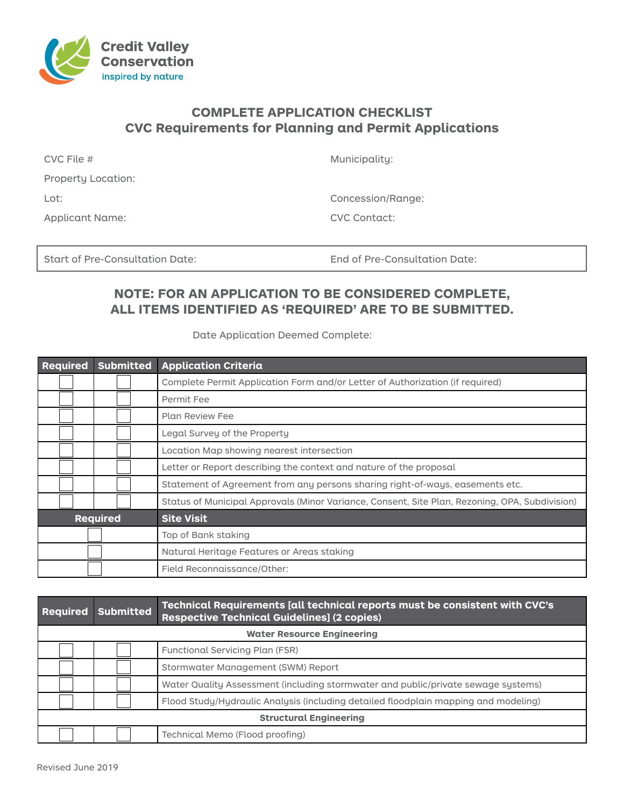

## **COMPLETE APPLICATION CHECKLIST CVC Requirements for Planning and Permit Applications**

| $CVC$ File #       | Municipality: |
|--------------------|---------------|
| Property Location: |               |
| Lot:               | Concession/R  |
| Applicant Name:    | CVC Contact:  |

Concession/Range:

Start of Pre-Consultation Date: End of Pre-Consultation Date:

## **NOTE: FOR AN APPLICATION TO BE CONSIDERED COMPLETE, ALL ITEMS IDENTIFIED AS 'REQUIRED' ARE TO BE SUBMITTED.**

Date Application Deemed Complete:

| <b>Required</b><br><b>Submitted</b> |  | <b>Application Criteria</b>                                                                    |
|-------------------------------------|--|------------------------------------------------------------------------------------------------|
|                                     |  | Complete Permit Application Form and/or Letter of Authorization (if required)                  |
|                                     |  | Permit Fee                                                                                     |
|                                     |  | <b>Plan Review Fee</b>                                                                         |
|                                     |  | Legal Survey of the Property                                                                   |
|                                     |  | Location Map showing nearest intersection                                                      |
|                                     |  | Letter or Report describing the context and nature of the proposal                             |
|                                     |  | Statement of Agreement from any persons sharing right-of-ways, easements etc.                  |
|                                     |  | Status of Municipal Approvals (Minor Variance, Consent, Site Plan, Rezoning, OPA, Subdivision) |
| <b>Required</b>                     |  | <b>Site Visit</b>                                                                              |
|                                     |  | Top of Bank staking                                                                            |
|                                     |  | Natural Heritage Features or Areas staking                                                     |
|                                     |  | Field Reconnaissance/Other:                                                                    |

| <b>Required</b>                   | <b>Submitted</b> | Technical Requirements [all technical reports must be consistent with CVC's<br><b>Respective Technical Guidelines] (2 copies)</b> |  |  |
|-----------------------------------|------------------|-----------------------------------------------------------------------------------------------------------------------------------|--|--|
| <b>Water Resource Engineering</b> |                  |                                                                                                                                   |  |  |
|                                   |                  | Functional Servicing Plan (FSR)                                                                                                   |  |  |
|                                   |                  | Stormwater Management (SWM) Report                                                                                                |  |  |
|                                   |                  | Water Quality Assessment (including stormwater and public/private sewage systems)                                                 |  |  |
|                                   |                  | Flood Study/Hydraulic Analysis (including detailed floodplain mapping and modeling)                                               |  |  |
| <b>Structural Engineering</b>     |                  |                                                                                                                                   |  |  |
|                                   |                  | Technical Memo (Flood proofing)                                                                                                   |  |  |